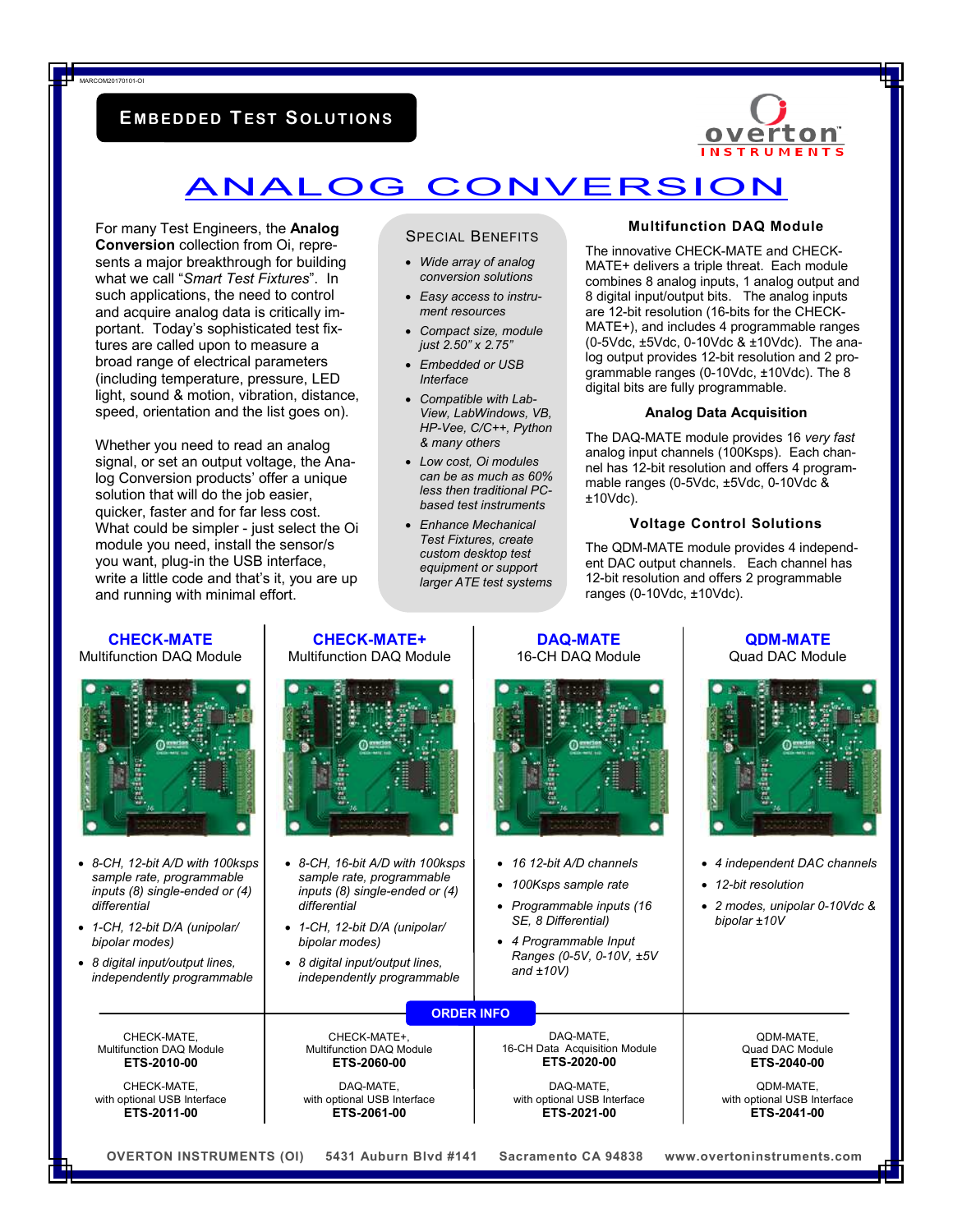# **E MB EDDED TEST SOLU T I ON S**

MARCOM20170101-OI



# ANALOG CONVERSION

For many Test Engineers, the **Analog Conversion** collection from Oi, represents a major breakthrough for building what we call "*Smart Test Fixtures*". In such applications, the need to control and acquire analog data is critically important. Today's sophisticated test fixtures are called upon to measure a broad range of electrical parameters (including temperature, pressure, LED light, sound & motion, vibration, distance, speed, orientation and the list goes on).

Whether you need to read an analog signal, or set an output voltage, the Analog Conversion products' offer a unique solution that will do the job easier, quicker, faster and for far less cost. What could be simpler - just select the Oi module you need, install the sensor/s you want, plug-in the USB interface, write a little code and that's it, you are up and running with minimal effort.

## SPECIAL BENEFITS

- *Wide array of analog conversion solutions*
- *Easy access to instrument resources*
- *Compact size, module just 2.50" x 2.75"*
- *Embedded or USB Interface*
- *Compatible with Lab-View, LabWindows, VB, HP-Vee, C/C++, Python & many others*
- *Low cost, Oi modules can be as much as 60% less then traditional PCbased test instruments*
- *Enhance Mechanical Test Fixtures, create custom desktop test equipment or support larger ATE test systems*

#### **Multifunction DAQ Module**

The innovative CHECK-MATE and CHECK-MATE+ delivers a triple threat. Each module combines 8 analog inputs, 1 analog output and 8 digital input/output bits. The analog inputs are 12-bit resolution (16-bits for the CHECK-MATE+), and includes 4 programmable ranges (0-5Vdc, ±5Vdc, 0-10Vdc & ±10Vdc). The analog output provides 12-bit resolution and 2 programmable ranges (0-10Vdc, ±10Vdc). The 8 digital bits are fully programmable.

#### **Analog Data Acquisition**

The DAQ-MATE module provides 16 *very fast*  analog input channels (100Ksps). Each channel has 12-bit resolution and offers 4 programmable ranges (0-5Vdc, ±5Vdc, 0-10Vdc & ±10Vdc).

## **Voltage Control Solutions**

The QDM-MATE module provides 4 independent DAC output channels. Each channel has 12-bit resolution and offers 2 programmable ranges (0-10Vdc, ±10Vdc).

| <b>CHECK-MATE</b><br>Multifunction DAQ Module                                                                                                                                                                                      | <b>CHECK-MATE+</b><br><b>Multifunction DAQ Module</b>                                                                                                                                                                                  | <b>DAQ-MATE</b><br>16-CH DAQ Module                                                                                                                                                    | <b>QDM-MATE</b><br>Quad DAC Module                                                                                                   |
|------------------------------------------------------------------------------------------------------------------------------------------------------------------------------------------------------------------------------------|----------------------------------------------------------------------------------------------------------------------------------------------------------------------------------------------------------------------------------------|----------------------------------------------------------------------------------------------------------------------------------------------------------------------------------------|--------------------------------------------------------------------------------------------------------------------------------------|
| • 8-CH, 12-bit A/D with 100ksps<br>sample rate, programmable<br>inputs (8) single-ended or (4)<br>differential<br>• 1-CH, 12-bit D/A (unipolar/<br>bipolar modes)<br>• 8 digital input/output lines,<br>independently programmable | • 8-CH, 16-bit A/D with 100ksps<br>sample rate, programmable<br>inputs $(8)$ single-ended or $(4)$<br>differential<br>• 1-CH, 12-bit D/A (unipolar/<br>bipolar modes)<br>• 8 digital input/output lines,<br>independently programmable | • 16 12-bit A/D channels<br>100Ksps sample rate<br>$\bullet$<br>• Programmable inputs (16<br>SE, 8 Differential)<br>• 4 Programmable Input<br>Ranges (0-5V, 0-10V, ±5V<br>and $±10V$ ) | • 4 independent DAC channels<br>• 12-bit resolution<br>• 2 modes, unipolar 0-10Vdc &<br>bipolar ±10V                                 |
| CHECK-MATE,<br><b>Multifunction DAQ Module</b><br>ETS-2010-00<br>CHECK-MATE.<br>with optional USB Interface<br>ETS-2011-00<br><b>OVERTON INSTRUMENTS (OI)</b>                                                                      | <b>ORDER INFO</b><br>CHECK-MATE+,<br><b>Multifunction DAQ Module</b><br>ETS-2060-00<br>DAQ-MATE.<br>with optional USB Interface<br>ETS-2061-00<br>5431 Auburn Blvd #141                                                                | DAQ-MATE.<br>16-CH Data Acquisition Module<br>ETS-2020-00<br>DAQ-MATE.<br>with optional USB Interface<br>ETS-2021-00<br>Sacramento CA 94838                                            | QDM-MATE.<br>Quad DAC Module<br>ETS-2040-00<br>QDM-MATE.<br>with optional USB Interface<br>ETS-2041-00<br>www.overtoninstruments.com |